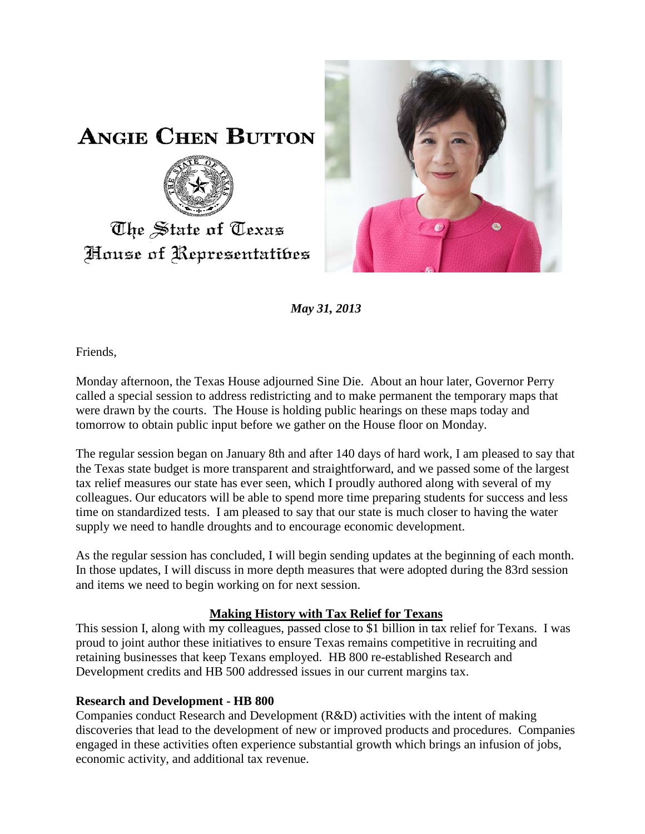

## **ANGIE CHEN BUTTON**



# The State of Texas House of Representatibes

*May 31, 2013*

Friends,

Monday afternoon, the Texas House adjourned Sine Die. About an hour later, Governor Perry called a special session to address redistricting and to make permanent the temporary maps that were drawn by the courts. The House is holding public hearings on these maps today and tomorrow to obtain public input before we gather on the House floor on Monday.

The regular session began on January 8th and after 140 days of hard work, I am pleased to say that the Texas state budget is more transparent and straightforward, and we passed some of the largest tax relief measures our state has ever seen, which I proudly authored along with several of my colleagues. Our educators will be able to spend more time preparing students for success and less time on standardized tests. I am pleased to say that our state is much closer to having the water supply we need to handle droughts and to encourage economic development.

As the regular session has concluded, I will begin sending updates at the beginning of each month. In those updates, I will discuss in more depth measures that were adopted during the 83rd session and items we need to begin working on for next session.

### **Making History with Tax Relief for Texans**

This session I, along with my colleagues, passed close to \$1 billion in tax relief for Texans. I was proud to joint author these initiatives to ensure Texas remains competitive in recruiting and retaining businesses that keep Texans employed. HB 800 re-established Research and Development credits and HB 500 addressed issues in our current margins tax.

### **Research and Development - HB 800**

Companies conduct Research and Development (R&D) activities with the intent of making discoveries that lead to the development of new or improved products and procedures. Companies engaged in these activities often experience substantial growth which brings an infusion of jobs, economic activity, and additional tax revenue.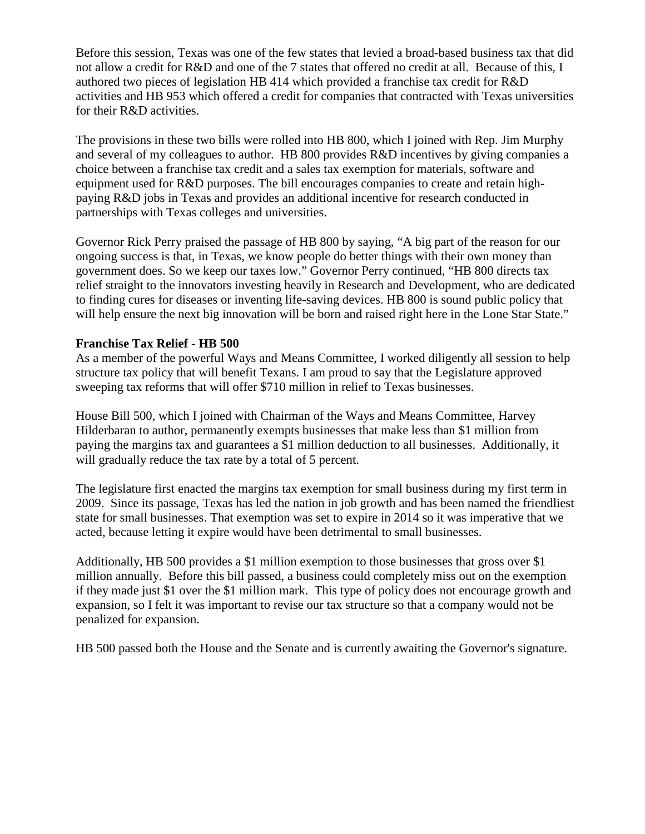Before this session, Texas was one of the few states that levied a broad-based business tax that did not allow a credit for R&D and one of the 7 states that offered no credit at all. Because of this, I authored two pieces of legislation HB 414 which provided a franchise tax credit for R&D activities and HB 953 which offered a credit for companies that contracted with Texas universities for their R&D activities.

The provisions in these two bills were rolled into HB 800, which I joined with Rep. Jim Murphy and several of my colleagues to author. HB 800 provides R&D incentives by giving companies a choice between a franchise tax credit and a sales tax exemption for materials, software and equipment used for R&D purposes. The bill encourages companies to create and retain highpaying R&D jobs in Texas and provides an additional incentive for research conducted in partnerships with Texas colleges and universities.

Governor Rick Perry praised the passage of HB 800 by saying, "A big part of the reason for our ongoing success is that, in Texas, we know people do better things with their own money than government does. So we keep our taxes low." Governor Perry continued, "HB 800 directs tax relief straight to the innovators investing heavily in Research and Development, who are dedicated to finding cures for diseases or inventing life-saving devices. HB 800 is sound public policy that will help ensure the next big innovation will be born and raised right here in the Lone Star State."

#### **Franchise Tax Relief - HB 500**

As a member of the powerful Ways and Means Committee, I worked diligently all session to help structure tax policy that will benefit Texans. I am proud to say that the Legislature approved sweeping tax reforms that will offer \$710 million in relief to Texas businesses.

House Bill 500, which I joined with Chairman of the Ways and Means Committee, Harvey Hilderbaran to author, permanently exempts businesses that make less than \$1 million from paying the margins tax and guarantees a \$1 million deduction to all businesses. Additionally, it will gradually reduce the tax rate by a total of 5 percent.

The legislature first enacted the margins tax exemption for small business during my first term in 2009. Since its passage, Texas has led the nation in job growth and has been named the friendliest state for small businesses. That exemption was set to expire in 2014 so it was imperative that we acted, because letting it expire would have been detrimental to small businesses.

Additionally, HB 500 provides a \$1 million exemption to those businesses that gross over \$1 million annually. Before this bill passed, a business could completely miss out on the exemption if they made just \$1 over the \$1 million mark. This type of policy does not encourage growth and expansion, so I felt it was important to revise our tax structure so that a company would not be penalized for expansion.

HB 500 passed both the House and the Senate and is currently awaiting the Governor's signature.